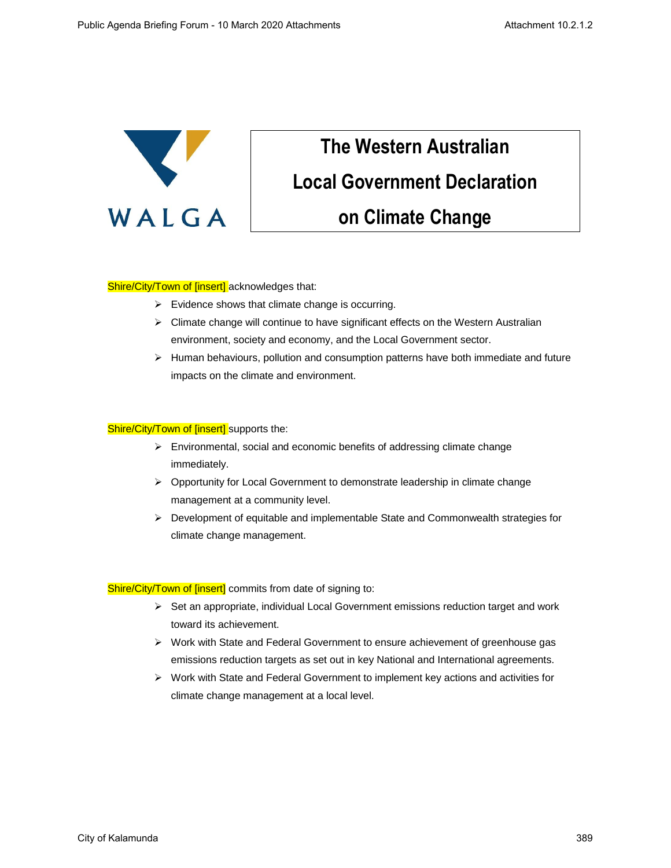

## **The Western Australian Local Government Declaration on Climate Change**

## Shire/City/Town of [insert] acknowledges that:

- $\triangleright$  Evidence shows that climate change is occurring.
- $\triangleright$  Climate change will continue to have significant effects on the Western Australian environment, society and economy, and the Local Government sector.
- $\triangleright$  Human behaviours, pollution and consumption patterns have both immediate and future impacts on the climate and environment.

## Shire/City/Town of [insert] supports the:

- ➢ Environmental, social and economic benefits of addressing climate change immediately.
- ➢ Opportunity for Local Government to demonstrate leadership in climate change management at a community level.
- ➢ Development of equitable and implementable State and Commonwealth strategies for climate change management.

Shire/City/Town of [insert] commits from date of signing to:

- $\triangleright$  Set an appropriate, individual Local Government emissions reduction target and work toward its achievement.
- ➢ Work with State and Federal Government to ensure achievement of greenhouse gas emissions reduction targets as set out in key National and International agreements.
- ➢ Work with State and Federal Government to implement key actions and activities for climate change management at a local level.